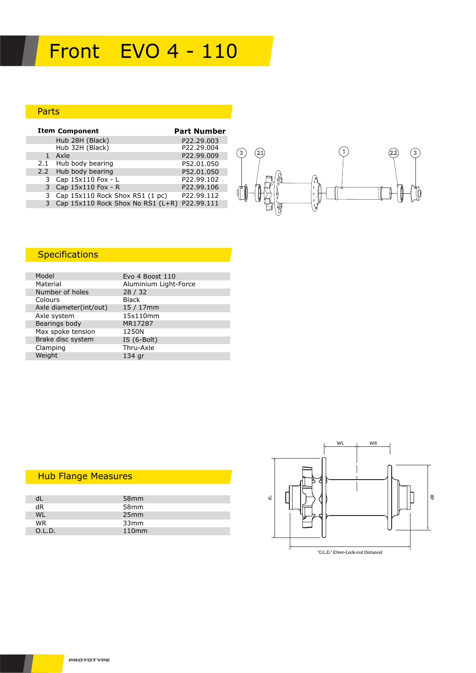# Front EVO 4 - 110

### Parts

| <b>Item Component</b>                          | <b>Part Number</b> |
|------------------------------------------------|--------------------|
| Hub 28H (Black)                                | P22.29.003         |
| Hub 32H (Black)                                | P22.29.004         |
| Axle                                           | P22.99.009         |
| 2.1 Hub body bearing                           | P52.01.050         |
| 2.2 Hub body bearing                           | P52.01.050         |
| 3 Cap 15x110 Fox - L                           | P22.99.102         |
| Cap 15x110 Fox - R                             | P22.99.106         |
| 3 Cap 15x110 Rock Shox RS1 (1 pc)              | P22.99.112         |
| 3 Cap 15x110 Rock Shox No RS1 (L+R) P22.99.111 |                    |



## **Specifications**

| Evo 4 Boost 110       |
|-----------------------|
| Aluminium Light-Force |
| 28/32                 |
| <b>Black</b>          |
| $15/17$ mm            |
| 15x110mm              |
| MR17287               |
| 1250N                 |
| IS $(6-Bolt)$         |
| Thru-Axle             |
| 134 gr                |
|                       |

## Hub Flange Measures

|           | 58 <sub>mm</sub>  |  |
|-----------|-------------------|--|
| dR        | 58 <sub>mm</sub>  |  |
| WI        | 25mm              |  |
| <b>WR</b> | 33mm              |  |
| O.L.D.    | 110 <sub>mm</sub> |  |